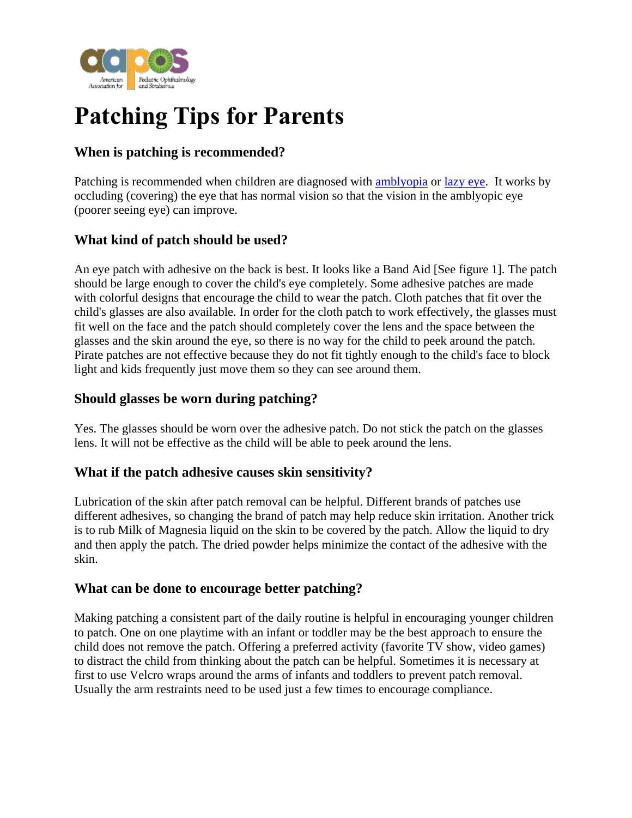

# **Patching Tips for Parents**

## **When is patching is recommended?**

Patching is recommended when children are diagnosed with [amblyopia](https://aapos.org/glossary/amblyopia) or [lazy eye.](https://aapos.org/glossary/lazy-eye) It works by occluding (covering) the eye that has normal vision so that the vision in the amblyopic eye (poorer seeing eye) can improve.

### **What kind of patch should be used?**

An eye patch with adhesive on the back is best. It looks like a Band Aid [See figure 1]. The patch should be large enough to cover the child's eye completely. Some adhesive patches are made with colorful designs that encourage the child to wear the patch. Cloth patches that fit over the child's glasses are also available. In order for the cloth patch to work effectively, the glasses must fit well on the face and the patch should completely cover the lens and the space between the glasses and the skin around the eye, so there is no way for the child to peek around the patch. Pirate patches are not effective because they do not fit tightly enough to the child's face to block light and kids frequently just move them so they can see around them.

#### **Should glasses be worn during patching?**

Yes. The glasses should be worn over the adhesive patch. Do not stick the patch on the glasses lens. It will not be effective as the child will be able to peek around the lens.

#### **What if the patch adhesive causes skin sensitivity?**

Lubrication of the skin after patch removal can be helpful. Different brands of patches use different adhesives, so changing the brand of patch may help reduce skin irritation. Another trick is to rub Milk of Magnesia liquid on the skin to be covered by the patch. Allow the liquid to dry and then apply the patch. The dried powder helps minimize the contact of the adhesive with the skin.

#### **What can be done to encourage better patching?**

Making patching a consistent part of the daily routine is helpful in encouraging younger children to patch. One on one playtime with an infant or toddler may be the best approach to ensure the child does not remove the patch. Offering a preferred activity (favorite TV show, video games) to distract the child from thinking about the patch can be helpful. Sometimes it is necessary at first to use Velcro wraps around the arms of infants and toddlers to prevent patch removal. Usually the arm restraints need to be used just a few times to encourage compliance.